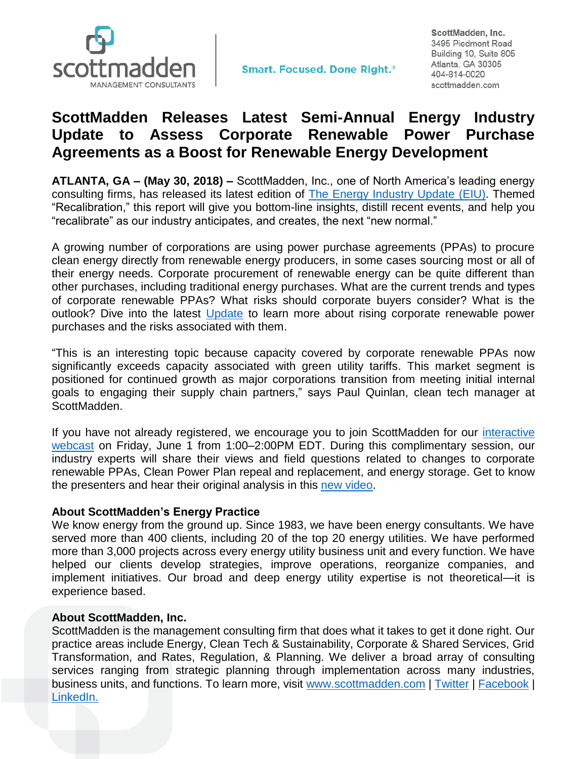

**Smart. Focused. Done Right.**<sup>®</sup>

ScottMadden, Inc. 3495 Piedmont Road Building 10, Suite 805 Atlanta, GA 30305 404-814-0020 scottmadden.com

## **ScottMadden Releases Latest Semi-Annual Energy Industry Update to Assess Corporate Renewable Power Purchase Agreements as a Boost for Renewable Energy Development**

**ATLANTA, GA – (May 30, 2018) –** ScottMadden, Inc., one of North America's leading energy consulting firms, has released its latest edition of [The Energy Industry Update](https://www.scottmadden.com/energy-industry-update/) (EIU). Themed "Recalibration," this report will give you bottom-line insights, distill recent events, and help you "recalibrate" as our industry anticipates, and creates, the next "new normal."

A growing number of corporations are using power purchase agreements (PPAs) to procure clean energy directly from renewable energy producers, in some cases sourcing most or all of their energy needs. Corporate procurement of renewable energy can be quite different than other purchases, including traditional energy purchases. What are the current trends and types of corporate renewable PPAs? What risks should corporate buyers consider? What is the outlook? Dive into the latest [Update](https://www.scottmadden.com/energy-industry-update/) to learn more about rising corporate renewable power purchases and the risks associated with them.

"This is an interesting topic because capacity covered by corporate renewable PPAs now significantly exceeds capacity associated with green utility tariffs. This market segment is positioned for continued growth as major corporations transition from meeting initial internal goals to engaging their supply chain partners," says Paul Quinlan, clean tech manager at ScottMadden.

If you have not already registered, we encourage you to join ScottMadden for our *interactive* [webcast](https://www.scottmadden.com/event/scottmaddens-energy-industry-update-webcast-recalibration/) on Friday, June 1 from 1:00–2:00PM EDT. During this complimentary session, our industry experts will share their views and field questions related to changes to corporate renewable PPAs, Clean Power Plan repeal and replacement, and energy storage. Get to know the presenters and hear their original analysis in this [new video.](https://www.youtube.com/watch?v=r-rYl9z68B0&feature=youtu.be)

## **About ScottMadden's Energy Practice**

We know energy from the ground up. Since 1983, we have been energy consultants. We have served more than 400 clients, including 20 of the top 20 energy utilities. We have performed more than 3,000 projects across every energy utility business unit and every function. We have helped our clients develop strategies, improve operations, reorganize companies, and implement initiatives. Our broad and deep energy utility expertise is not theoretical—it is experience based.

## **About ScottMadden, Inc.**

ScottMadden is the management consulting firm that does what it takes to get it done right. Our practice areas include Energy, Clean Tech & Sustainability, Corporate & Shared Services, Grid Transformation, and Rates, Regulation, & Planning. We deliver a broad array of consulting services ranging from strategic planning through implementation across many industries, business units, and functions. To learn more, visit [www.scottmadden.com](http://www.scottmadden.com/) | [Twitter](https://twitter.com/#!/SM_Energy) | [Facebook](http://www.facebook.com/#!/ScottMaddenInc) | [LinkedIn.](http://www.linkedin.com/company/37992)